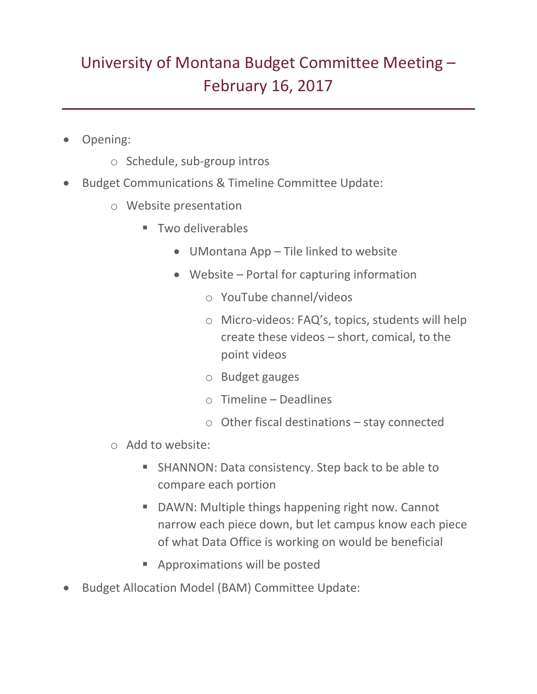## University of Montana Budget Committee Meeting – February 16, 2017

- Opening:
	- o Schedule, sub-group intros
- Budget Communications & Timeline Committee Update:
	- o Website presentation
		- **Two deliverables** 
			- UMontana App Tile linked to website
			- Website Portal for capturing information
				- o YouTube channel/videos
				- o Micro-videos: FAQ's, topics, students will help create these videos – short, comical, to the point videos
				- o Budget gauges
				- o Timeline Deadlines
				- o Other fiscal destinations stay connected
	- o Add to website:
		- **SHANNON: Data consistency. Step back to be able to** compare each portion
		- **DAWN: Multiple things happening right now. Cannot** narrow each piece down, but let campus know each piece of what Data Office is working on would be beneficial
		- **Approximations will be posted**
- Budget Allocation Model (BAM) Committee Update: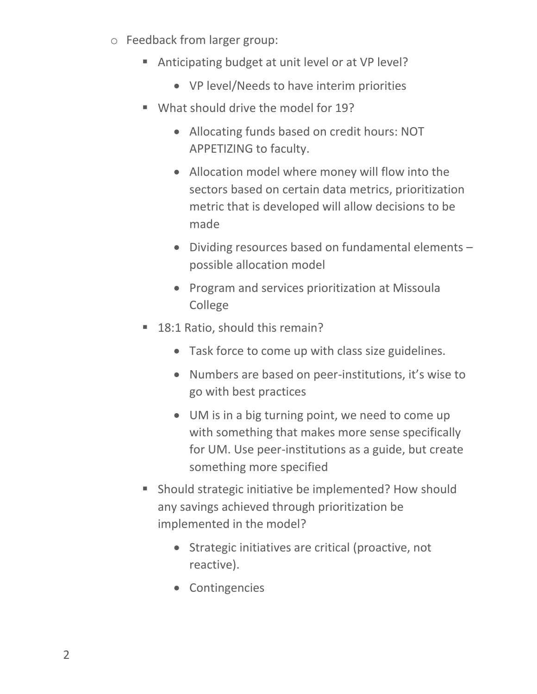- o Feedback from larger group:
	- Anticipating budget at unit level or at VP level?
		- VP level/Needs to have interim priorities
	- What should drive the model for 19?
		- Allocating funds based on credit hours: NOT APPETIZING to faculty.
		- Allocation model where money will flow into the sectors based on certain data metrics, prioritization metric that is developed will allow decisions to be made
		- Dividing resources based on fundamental elements possible allocation model
		- Program and services prioritization at Missoula College
	- 18:1 Ratio, should this remain?
		- Task force to come up with class size guidelines.
		- Numbers are based on peer-institutions, it's wise to go with best practices
		- UM is in a big turning point, we need to come up with something that makes more sense specifically for UM. Use peer-institutions as a guide, but create something more specified
	- **Should strategic initiative be implemented? How should** any savings achieved through prioritization be implemented in the model?
		- Strategic initiatives are critical (proactive, not reactive).
		- Contingencies